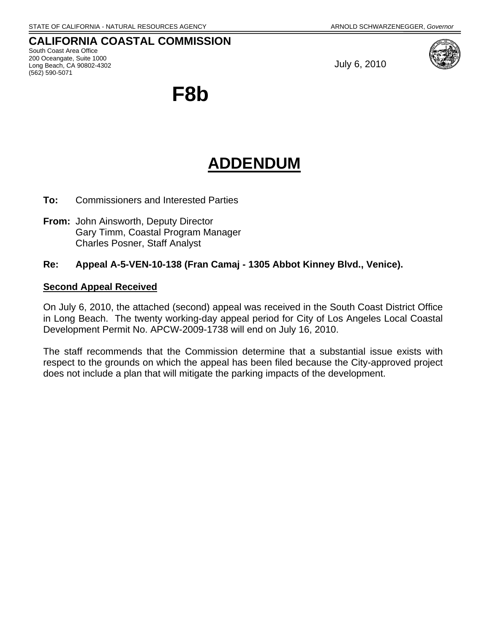(562) 590-5071

#### **CALIFORNIA COASTAL COMMISSION**  South Coast Area Office 200 Oceangate, Suite 1000 Long Beach, CA 90802-4302

July 6, 2010



**F8b** 

# **ADDENDUM**

- **To:** Commissioners and Interested Parties
- **From:** John Ainsworth, Deputy Director Gary Timm, Coastal Program Manager Charles Posner, Staff Analyst

#### **Re: Appeal A-5-VEN-10-138 (Fran Camaj - 1305 Abbot Kinney Blvd., Venice).**

#### **Second Appeal Received**

On July 6, 2010, the attached (second) appeal was received in the South Coast District Office in Long Beach. The twenty working-day appeal period for City of Los Angeles Local Coastal Development Permit No. APCW-2009-1738 will end on July 16, 2010.

The staff recommends that the Commission determine that a substantial issue exists with respect to the grounds on which the appeal has been filed because the City-approved project does not include a plan that will mitigate the parking impacts of the development.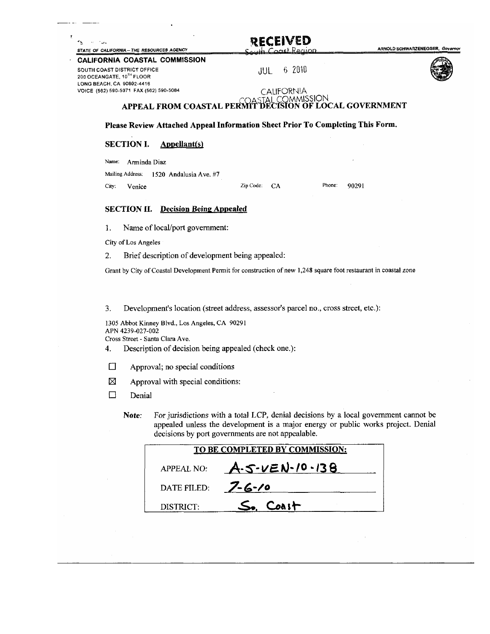ARNOLD SCHWARZENEGGER, Governor

#### CALIFORNIA COASTAL COMMISSION

SOUTH COAST DISTRICT OFFICE 200 OCEANGATE, 10TH FLOOR LONG BEACH, CA 90802-4416 VOICE (562) 590-5071 FAX (562) 590-5084

STATE OF CALIFORNIA - THE RESOURCES AGENCY

 $\sim$   $\sim$ 

 $\tau_{\rm h}$ 

6 2010 JUL



#### CALIFORNIA OMMISSION APPEAL FROM COASTAL PERMIT DECISION OF LOCAL GOVERNMENT

#### Please Review Attached Appeal Information Sheet Prior To Completing This Form.

#### **SECTION I. Appellant(s)**

Name: Arminda Diaz Mailing Address: 1520 Andalusia Ave. #7 Venice Zip Code: CA City:

Phone:

90291

#### **SECTION II.** Decision Being Appealed

1. Name of local/port government:

City of Los Angeles

Brief description of development being appealed: 2.

Grant by City of Coastal Development Permit for construction of new 1,248 square foot restaurant in coastal zone

Development's location (street address, assessor's parcel no., cross street, etc.): 3.

1305 Abbot Kinney Blvd., Los Angeles, CA 90291 APN 4239-027-002 Cross Street - Santa Clara Ave.

- Description of decision being appealed (check one.): 4.
- $\Box$ Approval; no special conditions
- 区 Approval with special conditions:
- $\Box$ Denial
	- For jurisdictions with a total LCP, denial decisions by a local government cannot be Note: appealed unless the development is a major energy or public works project. Denial decisions by port governments are not appealable.

|             | TO BE COMPLETED BY COMMISSION: |
|-------------|--------------------------------|
| APPEAL NO:  | $A-5-VEN-10-138$               |
| DATE FILED: | $7 - 6 - 10$                   |
| DISTRICT:   | $S_{\bullet}$ Coast            |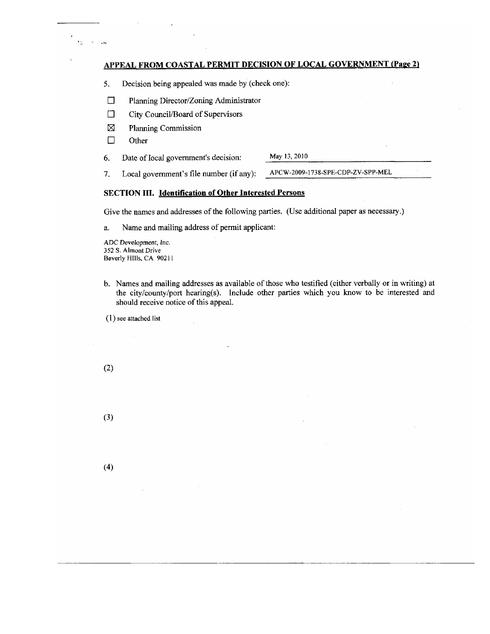#### **APPEAL FROM COASTAL PERMIT DECISION OF LOCAL GOVERNMENT (Page 2)**

- 5. Decision being appealed was made by (check one):
- $\Box$ Planning Director/Zoning Administrator
- $\Box$ City Council/Board of Supervisors
- $\boxtimes$ Planning Commission
- $\Box$ Other

 $\mathbf{q}_{\mathbf{q}} = \mathbf{q}_{\mathbf{q}}$  $\ddotsc$ 

> May 13, 2010 6. Date of local government's decision:

APCW-2009-1738-SPE-CDP-ZV-SPP-MEL 7. Local government's file number (if any):

#### **SECTION III.** Identification of Other Interested Persons

Give the names and addresses of the following parties. (Use additional paper as necessary.)

Name and mailing address of permit applicant: a.

ADC Development, Inc. 352 S. Almont Drive Beverly HIIIs, CA 90211

b. Names and mailing addresses as available of those who testified (either verbally or in writing) at the city/county/port hearing(s). Include other parties which you know to be interested and should receive notice of this appeal.

 $(1)$  see attached list

 $(2)$ 

 $(3)$ 

 $(4)$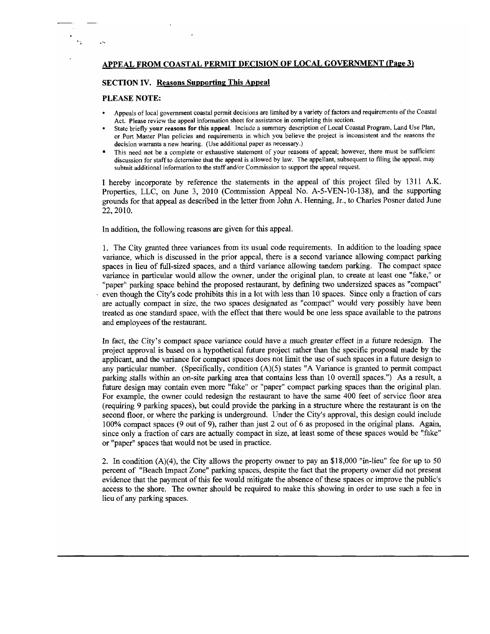#### **APPEAL FROM COASTAL PERMIT DECISION OF LOCAL GOVERNMENT (Page 3)**

#### **SECTION IV.** Reasons Supporting This Appeal

#### **PLEASE NOTE:**

- Appeals of local government coastal permit decisions are limited by a variety of factors and requirements of the Coastal Act. Please review the appeal information sheet for assistance in completing this section.
- State briefly your reasons for this appeal. Include a summary description of Local Coastal Program, Land Use Plan, or Port Master Plan policies and requirements in which you believe the project is inconsistent and the reasons the decision warrants a new hearing. (Use additional paper as necessary.)
- This need not be a complete or exhaustive statement of your reasons of appeal; however, there must be sufficient discussion for staff to determine that the appeal is allowed by law. The appellant, subsequent to filing the appeal, may submit additional information to the staff and/or Commission to support the appeal request.

I hereby incorporate by reference the statements in the appeal of this project filed by 1311 A.K. Properties, LLC, on June 3, 2010 (Commission Appeal No. A-5-VEN-10-138), and the supporting grounds for that appeal as described in the letter from John A. Henning, Jr., to Charles Posner dated June 22, 2010.

In addition, the following reasons are given for this appeal.

1. The City granted three variances from its usual code requirements. In addition to the loading space variance, which is discussed in the prior appeal, there is a second variance allowing compact parking spaces in lieu of full-sized spaces, and a third variance allowing tandem parking. The compact space variance in particular would allow the owner, under the original plan, to create at least one "fake," or "paper" parking space behind the proposed restaurant, by defining two undersized spaces as "compact" even though the City's code prohibits this in a lot with less than 10 spaces. Since only a fraction of cars are actually compact in size, the two spaces designated as "compact" would very possibly have been treated as one standard space, with the effect that there would be one less space available to the patrons and employees of the restaurant.

In fact, the City's compact space variance could have a much greater effect in a future redesign. The project approval is based on a hypothetical future project rather than the specific proposal made by the applicant, and the variance for compact spaces does not limit the use of such spaces in a future design to any particular number. (Specifically, condition (A)(5) states "A Variance is granted to permit compact parking stalls within an on-site parking area that contains less than 10 overall spaces.") As a result, a future design may contain even more "fake" or "paper" compact parking spaces than the original plan. For example, the owner could redesign the restaurant to have the same 400 feet of service floor area (requiring 9 parking spaces), but could provide the parking in a structure where the restaurant is on the second floor, or where the parking is underground. Under the City's approval, this design could include 100% compact spaces (9 out of 9), rather than just 2 out of 6 as proposed in the original plans. Again, since only a fraction of cars are actually compact in size, at least some of these spaces would be "fake" or "paper" spaces that would not be used in practice.

2. In condition (A)(4), the City allows the property owner to pay an \$18,000 "in-lieu" fee for up to 50 percent of "Beach Impact Zone" parking spaces, despite the fact that the property owner did not present evidence that the payment of this fee would mitigate the absence of these spaces or improve the public's access to the shore. The owner should be required to make this showing in order to use such a fee in lieu of any parking spaces.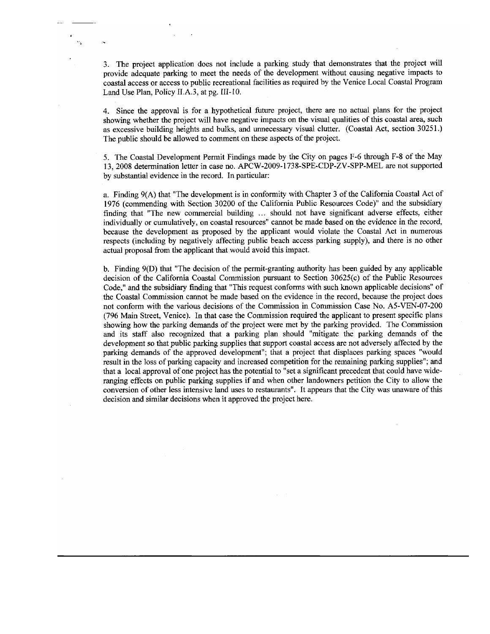3. The project application does not include a parking study that demonstrates that the project will provide adequate parking to meet the needs of the development without causing negative impacts to coastal access or access to public recreational facilities as required by the Venice Local Coastal Program Land Use Plan, Policy II.A.3, at pg. III-10.

4. Since the approval is for a hypothetical future project, there are no actual plans for the project showing whether the project will have negative impacts on the visual qualities of this coastal area, such as excessive building heights and bulks, and unnecessary visual clutter. (Coastal Act, section 30251.) The public should be allowed to comment on these aspects of the project.

5. The Coastal Development Permit Findings made by the City on pages F-6 through F-8 of the May 13, 2008 determination letter in case no. APCW-2009-1738-SPE-CDP-ZV-SPP-MEL are not supported by substantial evidence in the record. In particular:

a. Finding 9(A) that "The development is in conformity with Chapter 3 of the California Coastal Act of 1976 (commending with Section 30200 of the California Public Resources Code)" and the subsidiary finding that "The new commercial building ... should not have significant adverse effects, either individually or cumulatively, on coastal resources" cannot be made based on the evidence in the record, because the development as proposed by the applicant would violate the Coastal Act in numerous respects (including by negatively affecting public beach access parking supply), and there is no other actual proposal from the applicant that would avoid this impact.

b. Finding 9(D) that "The decision of the permit-granting authority has been guided by any applicable decision of the California Coastal Commission pursuant to Section 30625(c) of the Public Resources Code," and the subsidiary finding that "This request conforms with such known applicable decisions" of the Coastal Commission cannot be made based on the evidence in the record, because the project does not conform with the various decisions of the Commission in Commission Case No. A5-VEN-07-200 (796 Main Street, Venice). In that case the Commission required the applicant to present specific plans showing how the parking demands of the project were met by the parking provided. The Commission and its staff also recognized that a parking plan should "mitigate the parking demands of the development so that public parking supplies that support coastal access are not adversely affected by the parking demands of the approved development"; that a project that displaces parking spaces "would result in the loss of parking capacity and increased competition for the remaining parking supplies"; and that a local approval of one project has the potential to "set a significant precedent that could have wideranging effects on public parking supplies if and when other landowners petition the City to allow the conversion of other less intensive land uses to restaurants". It appears that the City was unaware of this decision and similar decisions when it approved the project here.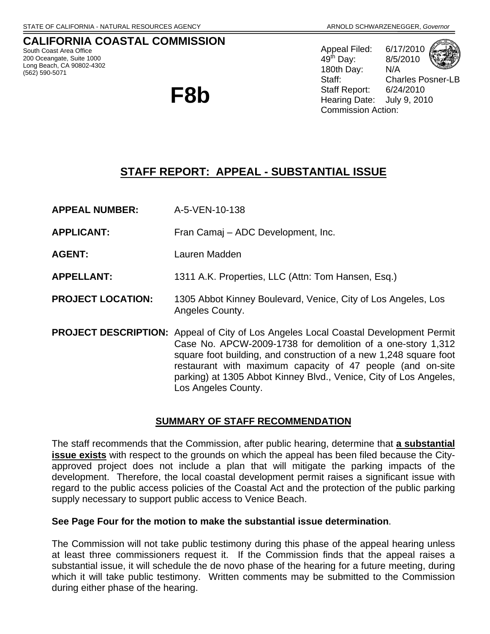**CALIFORNIA COASTAL COMMISSION**  South Coast Area Office 200 Oceangate, Suite 1000 Long Beach, CA 90802-4302 (562) 590-5071

**F8b**

Appeal Filed: 6/17/2010 49th Day: 8/5/2010 180th Day: N/A Staff: Charles Posner-LB Staff Report: 6/24/2010 Hearing Date: July 9, 2010 Commission Action:

## **STAFF REPORT: APPEAL - SUBSTANTIAL ISSUE**

**APPEAL NUMBER:** A-5-VEN-10-138

**APPLICANT:** Fran Camaj – ADC Development, Inc.

**AGENT:** Lauren Madden

**APPELLANT:** 1311 A.K. Properties, LLC (Attn: Tom Hansen, Esq.)

- **PROJECT LOCATION:** 1305 Abbot Kinney Boulevard, Venice, City of Los Angeles, Los Angeles County.
- **PROJECT DESCRIPTION:** Appeal of City of Los Angeles Local Coastal Development Permit Case No. APCW-2009-1738 for demolition of a one-story 1,312 square foot building, and construction of a new 1,248 square foot restaurant with maximum capacity of 47 people (and on-site parking) at 1305 Abbot Kinney Blvd., Venice, City of Los Angeles, Los Angeles County.

### **SUMMARY OF STAFF RECOMMENDATION**

The staff recommends that the Commission, after public hearing, determine that **a substantial issue exists** with respect to the grounds on which the appeal has been filed because the Cityapproved project does not include a plan that will mitigate the parking impacts of the development. Therefore, the local coastal development permit raises a significant issue with regard to the public access policies of the Coastal Act and the protection of the public parking supply necessary to support public access to Venice Beach.

### **See Page Four for the motion to make the substantial issue determination**.

The Commission will not take public testimony during this phase of the appeal hearing unless at least three commissioners request it. If the Commission finds that the appeal raises a substantial issue, it will schedule the de novo phase of the hearing for a future meeting, during which it will take public testimony. Written comments may be submitted to the Commission during either phase of the hearing.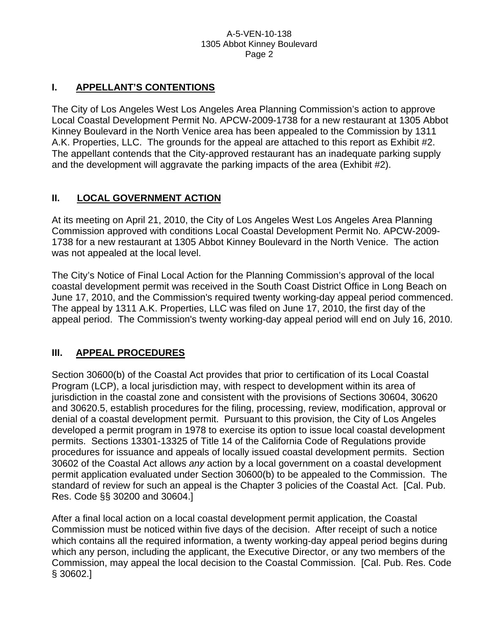### **I. APPELLANT'S CONTENTIONS**

The City of Los Angeles West Los Angeles Area Planning Commission's action to approve Local Coastal Development Permit No. APCW-2009-1738 for a new restaurant at 1305 Abbot Kinney Boulevard in the North Venice area has been appealed to the Commission by 1311 A.K. Properties, LLC. The grounds for the appeal are attached to this report as Exhibit #2. The appellant contends that the City-approved restaurant has an inadequate parking supply and the development will aggravate the parking impacts of the area (Exhibit #2).

### **II. LOCAL GOVERNMENT ACTION**

At its meeting on April 21, 2010, the City of Los Angeles West Los Angeles Area Planning Commission approved with conditions Local Coastal Development Permit No. APCW-2009- 1738 for a new restaurant at 1305 Abbot Kinney Boulevard in the North Venice. The action was not appealed at the local level.

The City's Notice of Final Local Action for the Planning Commission's approval of the local coastal development permit was received in the South Coast District Office in Long Beach on June 17, 2010, and the Commission's required twenty working-day appeal period commenced. The appeal by 1311 A.K. Properties, LLC was filed on June 17, 2010, the first day of the appeal period. The Commission's twenty working-day appeal period will end on July 16, 2010.

### **III. APPEAL PROCEDURES**

Section 30600(b) of the Coastal Act provides that prior to certification of its Local Coastal Program (LCP), a local jurisdiction may, with respect to development within its area of jurisdiction in the coastal zone and consistent with the provisions of Sections 30604, 30620 and 30620.5, establish procedures for the filing, processing, review, modification, approval or denial of a coastal development permit. Pursuant to this provision, the City of Los Angeles developed a permit program in 1978 to exercise its option to issue local coastal development permits. Sections 13301-13325 of Title 14 of the California Code of Regulations provide procedures for issuance and appeals of locally issued coastal development permits. Section 30602 of the Coastal Act allows *any* action by a local government on a coastal development permit application evaluated under Section 30600(b) to be appealed to the Commission. The standard of review for such an appeal is the Chapter 3 policies of the Coastal Act. [Cal. Pub. Res. Code §§ 30200 and 30604.]

After a final local action on a local coastal development permit application, the Coastal Commission must be noticed within five days of the decision. After receipt of such a notice which contains all the required information, a twenty working-day appeal period begins during which any person, including the applicant, the Executive Director, or any two members of the Commission, may appeal the local decision to the Coastal Commission. [Cal. Pub. Res. Code § 30602.]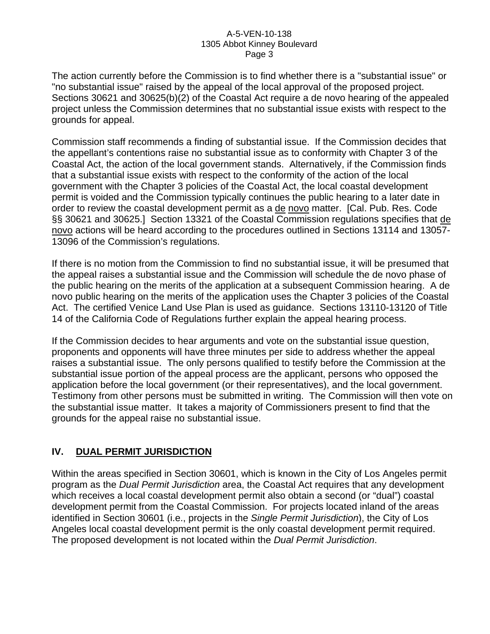The action currently before the Commission is to find whether there is a "substantial issue" or "no substantial issue" raised by the appeal of the local approval of the proposed project. Sections 30621 and 30625(b)(2) of the Coastal Act require a de novo hearing of the appealed project unless the Commission determines that no substantial issue exists with respect to the grounds for appeal.

Commission staff recommends a finding of substantial issue. If the Commission decides that the appellant's contentions raise no substantial issue as to conformity with Chapter 3 of the Coastal Act, the action of the local government stands. Alternatively, if the Commission finds that a substantial issue exists with respect to the conformity of the action of the local government with the Chapter 3 policies of the Coastal Act, the local coastal development permit is voided and the Commission typically continues the public hearing to a later date in order to review the coastal development permit as a de novo matter. [Cal. Pub. Res. Code §§ 30621 and 30625.] Section 13321 of the Coastal Commission regulations specifies that de novo actions will be heard according to the procedures outlined in Sections 13114 and 13057- 13096 of the Commission's regulations.

If there is no motion from the Commission to find no substantial issue, it will be presumed that the appeal raises a substantial issue and the Commission will schedule the de novo phase of the public hearing on the merits of the application at a subsequent Commission hearing. A de novo public hearing on the merits of the application uses the Chapter 3 policies of the Coastal Act. The certified Venice Land Use Plan is used as guidance. Sections 13110-13120 of Title 14 of the California Code of Regulations further explain the appeal hearing process.

If the Commission decides to hear arguments and vote on the substantial issue question, proponents and opponents will have three minutes per side to address whether the appeal raises a substantial issue. The only persons qualified to testify before the Commission at the substantial issue portion of the appeal process are the applicant, persons who opposed the application before the local government (or their representatives), and the local government. Testimony from other persons must be submitted in writing. The Commission will then vote on the substantial issue matter. It takes a majority of Commissioners present to find that the grounds for the appeal raise no substantial issue.

### **IV. DUAL PERMIT JURISDICTION**

Within the areas specified in Section 30601, which is known in the City of Los Angeles permit program as the *Dual Permit Jurisdiction* area, the Coastal Act requires that any development which receives a local coastal development permit also obtain a second (or "dual") coastal development permit from the Coastal Commission. For projects located inland of the areas identified in Section 30601 (i.e., projects in the *Single Permit Jurisdiction*), the City of Los Angeles local coastal development permit is the only coastal development permit required. The proposed development is not located within the *Dual Permit Jurisdiction*.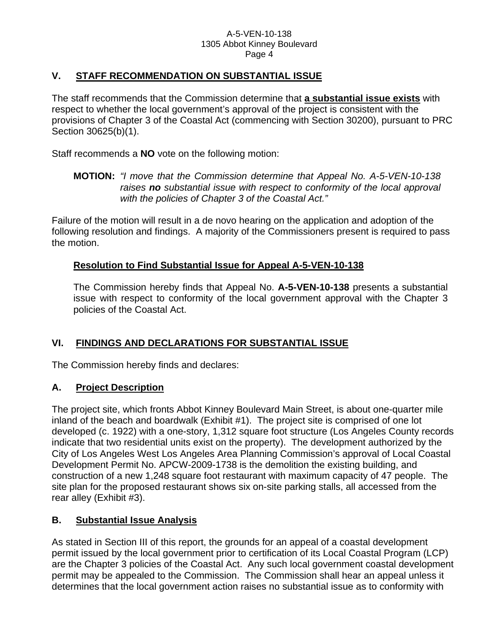### **V. STAFF RECOMMENDATION ON SUBSTANTIAL ISSUE**

The staff recommends that the Commission determine that **a substantial issue exists** with respect to whether the local government's approval of the project is consistent with the provisions of Chapter 3 of the Coastal Act (commencing with Section 30200), pursuant to PRC Section 30625(b)(1).

Staff recommends a **NO** vote on the following motion:

### **MOTION:** *"I move that the Commission determine that Appeal No. A-5-VEN-10-138 raises no substantial issue with respect to conformity of the local approval with the policies of Chapter 3 of the Coastal Act."*

Failure of the motion will result in a de novo hearing on the application and adoption of the following resolution and findings. A majority of the Commissioners present is required to pass the motion.

### **Resolution to Find Substantial Issue for Appeal A-5-VEN-10-138**

The Commission hereby finds that Appeal No. **A-5-VEN-10-138** presents a substantial issue with respect to conformity of the local government approval with the Chapter 3 policies of the Coastal Act.

### **VI. FINDINGS AND DECLARATIONS FOR SUBSTANTIAL ISSUE**

The Commission hereby finds and declares:

### **A. Project Description**

The project site, which fronts Abbot Kinney Boulevard Main Street, is about one-quarter mile inland of the beach and boardwalk (Exhibit #1). The project site is comprised of one lot developed (c. 1922) with a one-story, 1,312 square foot structure (Los Angeles County records indicate that two residential units exist on the property). The development authorized by the City of Los Angeles West Los Angeles Area Planning Commission's approval of Local Coastal Development Permit No. APCW-2009-1738 is the demolition the existing building, and construction of a new 1,248 square foot restaurant with maximum capacity of 47 people. The site plan for the proposed restaurant shows six on-site parking stalls, all accessed from the rear alley (Exhibit #3).

### **B. Substantial Issue Analysis**

As stated in Section III of this report, the grounds for an appeal of a coastal development permit issued by the local government prior to certification of its Local Coastal Program (LCP) are the Chapter 3 policies of the Coastal Act. Any such local government coastal development permit may be appealed to the Commission. The Commission shall hear an appeal unless it determines that the local government action raises no substantial issue as to conformity with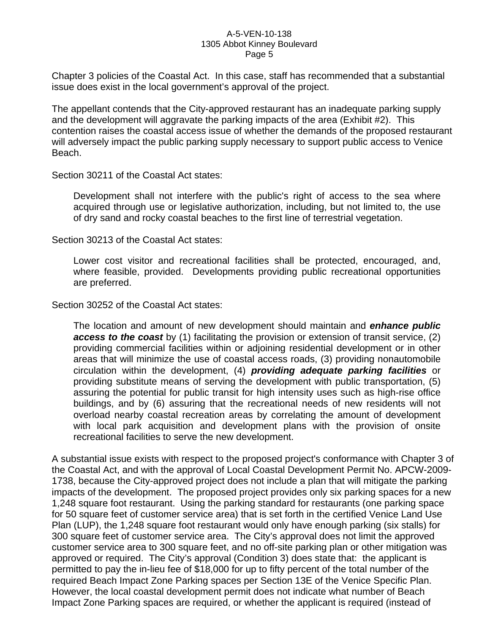Chapter 3 policies of the Coastal Act. In this case, staff has recommended that a substantial issue does exist in the local government's approval of the project.

The appellant contends that the City-approved restaurant has an inadequate parking supply and the development will aggravate the parking impacts of the area (Exhibit #2). This contention raises the coastal access issue of whether the demands of the proposed restaurant will adversely impact the public parking supply necessary to support public access to Venice Beach.

Section 30211 of the Coastal Act states:

Development shall not interfere with the public's right of access to the sea where acquired through use or legislative authorization, including, but not limited to, the use of dry sand and rocky coastal beaches to the first line of terrestrial vegetation.

Section 30213 of the Coastal Act states:

Lower cost visitor and recreational facilities shall be protected, encouraged, and, where feasible, provided. Developments providing public recreational opportunities are preferred.

Section 30252 of the Coastal Act states:

The location and amount of new development should maintain and *enhance public access to the coast* by (1) facilitating the provision or extension of transit service, (2) providing commercial facilities within or adjoining residential development or in other areas that will minimize the use of coastal access roads, (3) providing nonautomobile circulation within the development, (4) *providing adequate parking facilities* or providing substitute means of serving the development with public transportation, (5) assuring the potential for public transit for high intensity uses such as high-rise office buildings, and by (6) assuring that the recreational needs of new residents will not overload nearby coastal recreation areas by correlating the amount of development with local park acquisition and development plans with the provision of onsite recreational facilities to serve the new development.

A substantial issue exists with respect to the proposed project's conformance with Chapter 3 of the Coastal Act, and with the approval of Local Coastal Development Permit No. APCW-2009- 1738, because the City-approved project does not include a plan that will mitigate the parking impacts of the development. The proposed project provides only six parking spaces for a new 1,248 square foot restaurant. Using the parking standard for restaurants (one parking space for 50 square feet of customer service area) that is set forth in the certified Venice Land Use Plan (LUP), the 1,248 square foot restaurant would only have enough parking (six stalls) for 300 square feet of customer service area. The City's approval does not limit the approved customer service area to 300 square feet, and no off-site parking plan or other mitigation was approved or required. The City's approval (Condition 3) does state that: the applicant is permitted to pay the in-lieu fee of \$18,000 for up to fifty percent of the total number of the required Beach Impact Zone Parking spaces per Section 13E of the Venice Specific Plan. However, the local coastal development permit does not indicate what number of Beach Impact Zone Parking spaces are required, or whether the applicant is required (instead of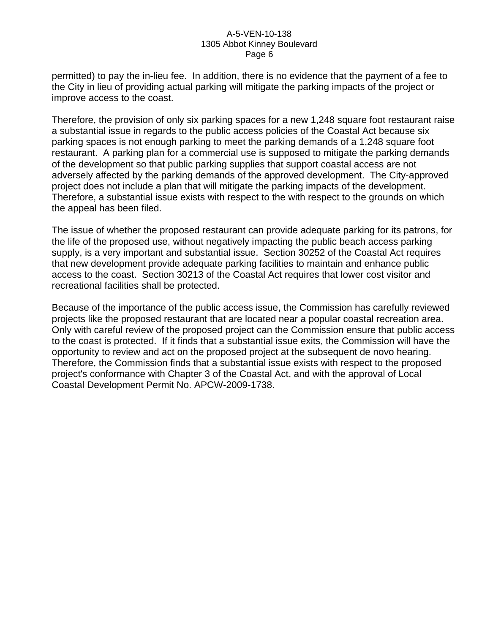permitted) to pay the in-lieu fee. In addition, there is no evidence that the payment of a fee to the City in lieu of providing actual parking will mitigate the parking impacts of the project or improve access to the coast.

Therefore, the provision of only six parking spaces for a new 1,248 square foot restaurant raise a substantial issue in regards to the public access policies of the Coastal Act because six parking spaces is not enough parking to meet the parking demands of a 1,248 square foot restaurant. A parking plan for a commercial use is supposed to mitigate the parking demands of the development so that public parking supplies that support coastal access are not adversely affected by the parking demands of the approved development. The City-approved project does not include a plan that will mitigate the parking impacts of the development. Therefore, a substantial issue exists with respect to the with respect to the grounds on which the appeal has been filed.

The issue of whether the proposed restaurant can provide adequate parking for its patrons, for the life of the proposed use, without negatively impacting the public beach access parking supply, is a very important and substantial issue. Section 30252 of the Coastal Act requires that new development provide adequate parking facilities to maintain and enhance public access to the coast. Section 30213 of the Coastal Act requires that lower cost visitor and recreational facilities shall be protected.

Because of the importance of the public access issue, the Commission has carefully reviewed projects like the proposed restaurant that are located near a popular coastal recreation area. Only with careful review of the proposed project can the Commission ensure that public access to the coast is protected. If it finds that a substantial issue exits, the Commission will have the opportunity to review and act on the proposed project at the subsequent de novo hearing. Therefore, the Commission finds that a substantial issue exists with respect to the proposed project's conformance with Chapter 3 of the Coastal Act, and with the approval of Local Coastal Development Permit No. APCW-2009-1738.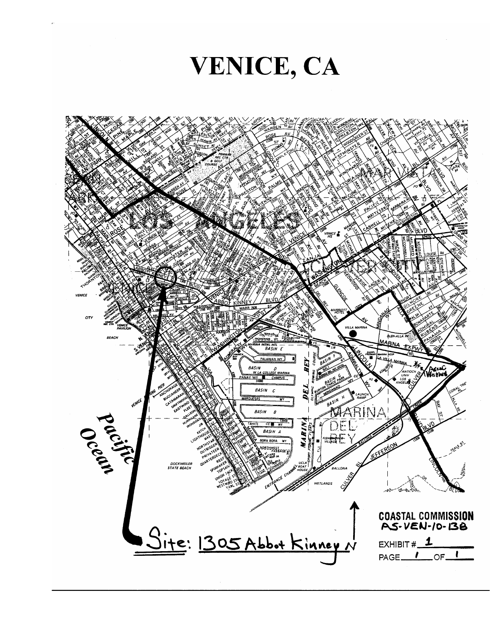VENICE, CA

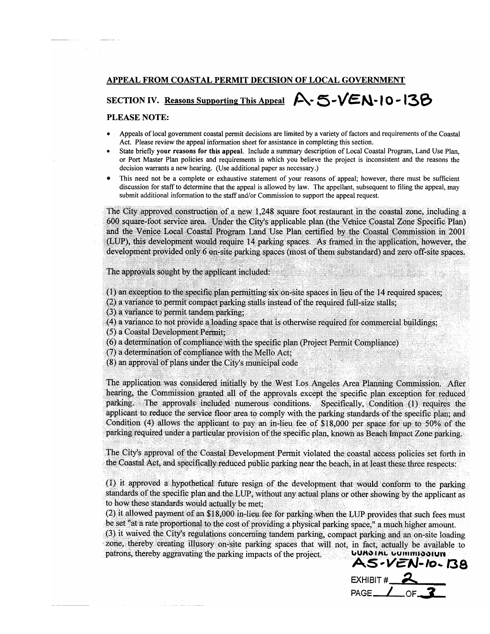#### APPEAL FROM COASTAL PERMIT DECISION OF LOCAL GOVERNMENT

# SECTION IV. Reasons Supporting This Appeal  $A - 5 - VEN - 10 - 13B$

#### PLEASE NOTE:

- Appeals of local government coastal permit decisions are limited by a variety of factors and requirements of the Coastal Act. Please review the appeal information sheet for assistance in completing this section.
- State briefly your reasons for this appeal. Include a summary description of Local Coastal Program, Land Use Plan, or Port Master Plan policies and requirements in which you believe the project is inconsistent and the reasons the decision warrants a new hearing. (Use additional paper as necessary.)
- This need not be a complete or exhaustive statement of your reasons of appeal; however, there must be sufficient discussion for staff to determine that the appeal is allowed by law. The appellant, subsequent to filing the appeal, may submit additional information to the staff and/or Commission to support the appeal request.

The City approved construction of a new 1,248 square foot restaurant in the coastal zone, including a 600 square-foot service area. Under the City's applicable plan (the Venice Coastal Zone Specific Plan) and the Venice Local Coastal Program Land Use Plan certified by the Coastal Commission in 2001 (LUP), this development would require 14 parking spaces. As framed in the application, however, the development provided only 6 on-site parking spaces (most of them substandard) and zero off-site spaces.

The approvals sought by the applicant included:

(1) an exception to the specific plan permitting six on-site spaces in lieu of the 14 required spaces;

(2) a variance to permit compact parking stalls instead of the required full-size stalls;

(3) a variance to permit tandem parking;

(4) a variance to not provide a loading space that is otherwise required for commercial buildings;

(5) a Coastal Development Permit:

(6) a determination of compliance with the specific plan (Project Permit Compliance)

(7) a determination of compliance with the Mello Act;

(8) an approval of plans under the City's municipal code

The application was considered initially by the West Los Angeles Area Planning Commission. After hearing, the Commission granted all of the approvals except the specific plan exception for reduced parking. The approvals included numerous conditions. Specifically, Condition (1) requires the applicant to reduce the service floor area to comply with the parking standards of the specific plan; and Condition (4) allows the applicant to pay an in-lieu fee of \$18,000 per space for up to 50% of the parking required under a particular provision of the specific plan, known as Beach Impact Zone parking.

The City's approval of the Coastal Development Permit violated the coastal access policies set forth in the Coastal Act, and specifically reduced public parking near the beach, in at least these three respects:

(1) it approved a hypothetical future resign of the development that would conform to the parking standards of the specific plan and the LUP, without any actual plans or other showing by the applicant as to how these standards would actually be met;

(2) it allowed payment of an \$18,000 in-lieu fee for parking when the LUP provides that such fees must be set "at a rate proportional to the cost of providing a physical parking space," a much higher amount.

(3) it waived the City's regulations concerning tandem parking, compact parking and an on-site loading zone, thereby creating illusory on-site parking spaces that will not, in fact, actually be available to patrons, thereby aggravating the parking impacts of the project. **UUAOIAL UUITIITIOOIUIT** 

AS-VEN-10-138 EXHIBIT #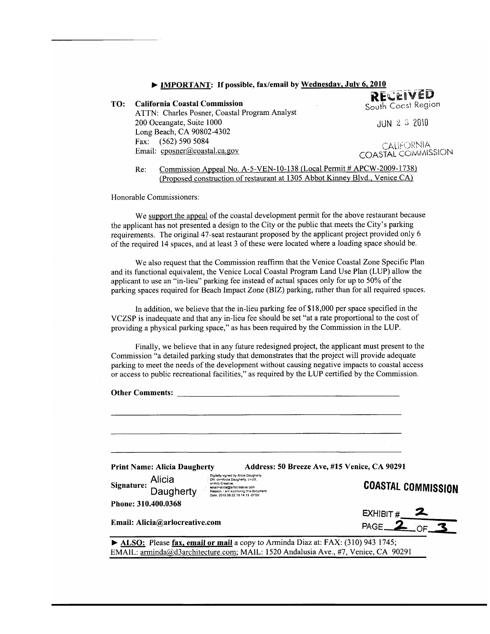| • IMPORTANT: If possible, fax/email by Wednesday, July 6, 2010 |                                                                                                         |                                  |
|----------------------------------------------------------------|---------------------------------------------------------------------------------------------------------|----------------------------------|
| TO:                                                            | <b>California Coastal Commission</b>                                                                    | RECEIVED<br>South Coast Region   |
|                                                                | ATTN: Charles Posner, Coastal Program Analyst<br>200 Oceangate, Suite 1000<br>Long Beach, CA 90802-4302 | JUN 2 3 2010                     |
|                                                                | Fax: (562) 590 5084<br>Email: cposner@coastal.ca.gov                                                    | CALIFORNIA<br>COASTAL COMMISSION |

Commission Appeal No. A-5-VEN-10-138 (Local Permit # APCW-2009-1738) Re: (Proposed construction of restaurant at 1305 Abbot Kinney Blvd., Venice CA)

Honorable Commissioners:

We support the appeal of the coastal development permit for the above restaurant because the applicant has not presented a design to the City or the public that meets the City's parking requirements. The original 47-seat restaurant proposed by the applicant project provided only 6 of the required 14 spaces, and at least 3 of these were located where a loading space should be.

We also request that the Commission reaffirm that the Venice Coastal Zone Specific Plan and its functional equivalent, the Venice Local Coastal Program Land Use Plan (LUP) allow the applicant to use an "in-lieu" parking fee instead of actual spaces only for up to 50% of the parking spaces required for Beach Impact Zone (BIZ) parking, rather than for all required spaces.

In addition, we believe that the in-lieu parking fee of \$18,000 per space specified in the VCZSP is inadequate and that any in-lieu fee should be set "at a rate proportional to the cost of providing a physical parking space," as has been required by the Commission in the LUP.

Finally, we believe that in any future redesigned project, the applicant must present to the Commission "a detailed parking study that demonstrates that the project will provide adequate parking to meet the needs of the development without causing negative impacts to coastal access or access to public recreational facilities," as required by the LUP certified by the Commission.

| <b>Other Comments:</b>                                                                                                                                                                                                                        |                                              |
|-----------------------------------------------------------------------------------------------------------------------------------------------------------------------------------------------------------------------------------------------|----------------------------------------------|
|                                                                                                                                                                                                                                               |                                              |
| <b>Print Name: Alicia Daugherty</b>                                                                                                                                                                                                           | Address: 50 Breeze Ave, #15 Venice, CA 90291 |
| Digitally signed by Alicia Daugherty<br>Alicia<br>DN: cn=Alicia Daugherty, c=US,<br>o=Arlo Creative.<br>Signature:<br>email=alicia@arlocreative.com<br>Daugherty<br>Reason: I am approving this document<br>Date: 2010.06.22 18:14:13 -07'00" | <b>COASTAL COMMISSION</b>                    |
| Phone: 310.400.0368                                                                                                                                                                                                                           |                                              |
|                                                                                                                                                                                                                                               |                                              |
| Email: Alicia@arlocreative.com                                                                                                                                                                                                                | EXHIBIT # $\frac{2}{\text{PAGE}}$            |
| $\blacktriangleright$ ALSO: Please fax, email or mail a copy to Arminda Diaz at: FAX: (310) 943 1745;                                                                                                                                         |                                              |
| EMAIL: arminda@d3architecture.com; MAIL: 1520 Andalusia Ave., #7, Venice, CA 90291                                                                                                                                                            |                                              |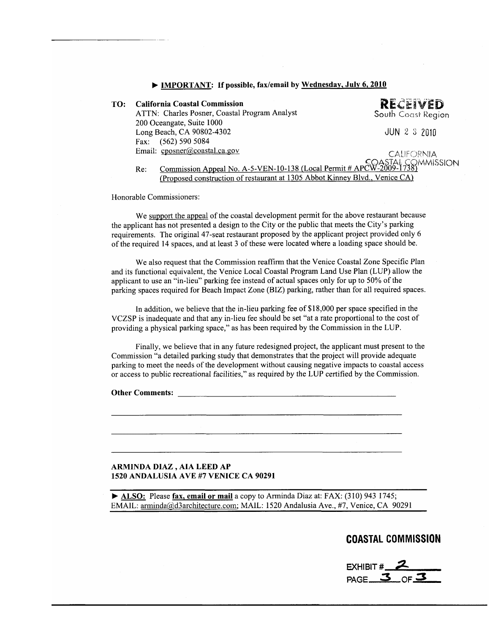| • IMPORTANT: If possible, fax/email by Wednesday, July 6, 2010 |                                                                                                                |                    |
|----------------------------------------------------------------|----------------------------------------------------------------------------------------------------------------|--------------------|
| TO:                                                            | <b>California Coastal Commission</b>                                                                           | <b>RECEIVED</b>    |
|                                                                | ATTN: Charles Posner, Coastal Program Analyst                                                                  | South Coast Region |
|                                                                | 200 Oceangate, Suite 1000                                                                                      |                    |
|                                                                | Long Beach, CA 90802-4302                                                                                      | $JUN$ 2 3 2010     |
|                                                                | $(562)$ 590 5084<br>Fax:                                                                                       |                    |
|                                                                | Email: cposner@coastal.ca.gov                                                                                  | <b>CALIFORNIA</b>  |
|                                                                | COASTAL COMMISSION<br>Commission Anneal No. A-5-VEN-10-138 (Local Permit # APCW-2009-1738)<br>D <sub>a</sub> . |                    |

ommission Appeal No. A -5-VEN-10-138 (Local Permit # ĸe: (Proposed construction of restaurant at 1305 Abbot Kinney Blvd., Venice CA)

Honorable Commissioners:

We support the appeal of the coastal development permit for the above restaurant because the applicant has not presented a design to the City or the public that meets the City's parking requirements. The original 47-seat restaurant proposed by the applicant project provided only 6 of the required 14 spaces, and at least 3 of these were located where a loading space should be.

We also request that the Commission reaffirm that the Venice Coastal Zone Specific Plan and its functional equivalent, the Venice Local Coastal Program Land Use Plan (LUP) allow the applicant to use an "in-lieu" parking fee instead of actual spaces only for up to 50% of the parking spaces required for Beach Impact Zone (BIZ) parking, rather than for all required spaces.

In addition, we believe that the in-lieu parking fee of \$18,000 per space specified in the VCZSP is inadequate and that any in-lieu fee should be set "at a rate proportional to the cost of providing a physical parking space," as has been required by the Commission in the LUP.

Finally, we believe that in any future redesigned project, the applicant must present to the Commission "a detailed parking study that demonstrates that the project will provide adequate parking to meet the needs of the development without causing negative impacts to coastal access or access to public recreational facilities," as required by the LUP certified by the Commission.

#### ARMINDA DIAZ , AIA LEED AP 1520 ANDALUSIA AVE #7 VENICE CA 90291

ALSO: Please fax, email or mail a copy to Arminda Diaz at: FAX: (310) 943 1745; EMAIL: arminda@d3architecture.com; MAIL: 1520 Andalusia Ave., #7, Venice, CA 90291

**COASTAL COMMISSION** 

EXHIBIT # PAGE<sub> $-$ 3</sub>  $\circ$   $\in$   $\le$